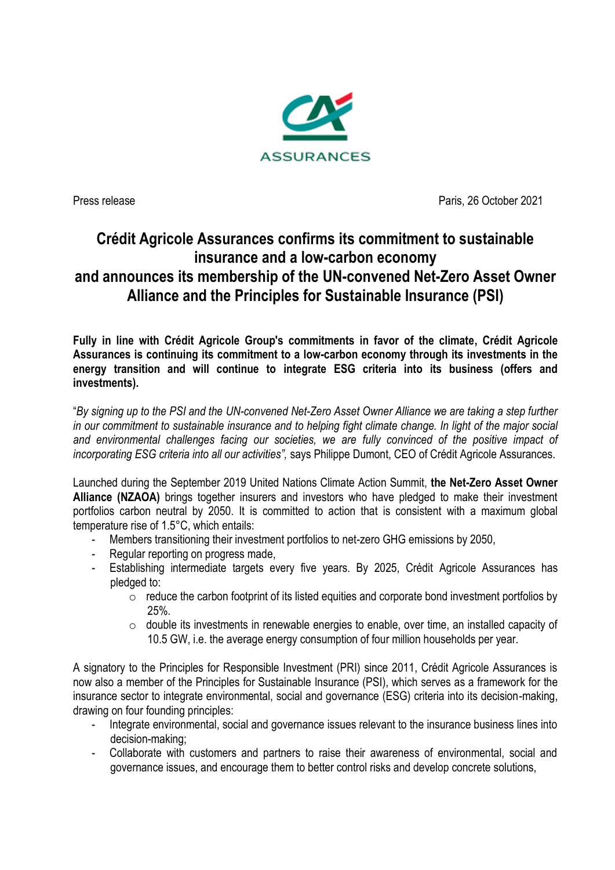

Press release **Press release** Paris, 26 October 2021

## **Crédit Agricole Assurances confirms its commitment to sustainable insurance and a low-carbon economy and announces its membership of the UN-convened Net-Zero Asset Owner Alliance and the Principles for Sustainable Insurance (PSI)**

**Fully in line with Crédit Agricole Group's commitments in favor of the climate, Crédit Agricole Assurances is continuing its commitment to a low-carbon economy through its investments in the energy transition and will continue to integrate ESG criteria into its business (offers and investments).**

"*By signing up to the PSI and the UN-convened Net-Zero Asset Owner Alliance we are taking a step further in our commitment to sustainable insurance and to helping fight climate change. In light of the major social*  and environmental challenges facing our societies, we are fully convinced of the positive impact of *incorporating ESG criteria into all our activities",* says Philippe Dumont, CEO of Crédit Agricole Assurances.

Launched during the September 2019 United Nations Climate Action Summit, **the Net-Zero Asset Owner Alliance (NZAOA)** brings together insurers and investors who have pledged to make their investment portfolios carbon neutral by 2050. It is committed to action that is consistent with a maximum global temperature rise of 1.5°C, which entails:

- Members transitioning their investment portfolios to net-zero GHG emissions by 2050,
- Regular reporting on progress made,
- Establishing intermediate targets every five years. By 2025, Crédit Agricole Assurances has pledged to:
	- $\circ$  reduce the carbon footprint of its listed equities and corporate bond investment portfolios by 25%.
	- o double its investments in renewable energies to enable, over time, an installed capacity of 10.5 GW, i.e. the average energy consumption of four million households per year.

A signatory to the Principles for Responsible Investment (PRI) since 2011, Crédit Agricole Assurances is now also a member of the Principles for Sustainable Insurance (PSI), which serves as a framework for the insurance sector to integrate environmental, social and governance (ESG) criteria into its decision-making, drawing on four founding principles:

- Integrate environmental, social and governance issues relevant to the insurance business lines into decision-making;
- Collaborate with customers and partners to raise their awareness of environmental, social and governance issues, and encourage them to better control risks and develop concrete solutions,